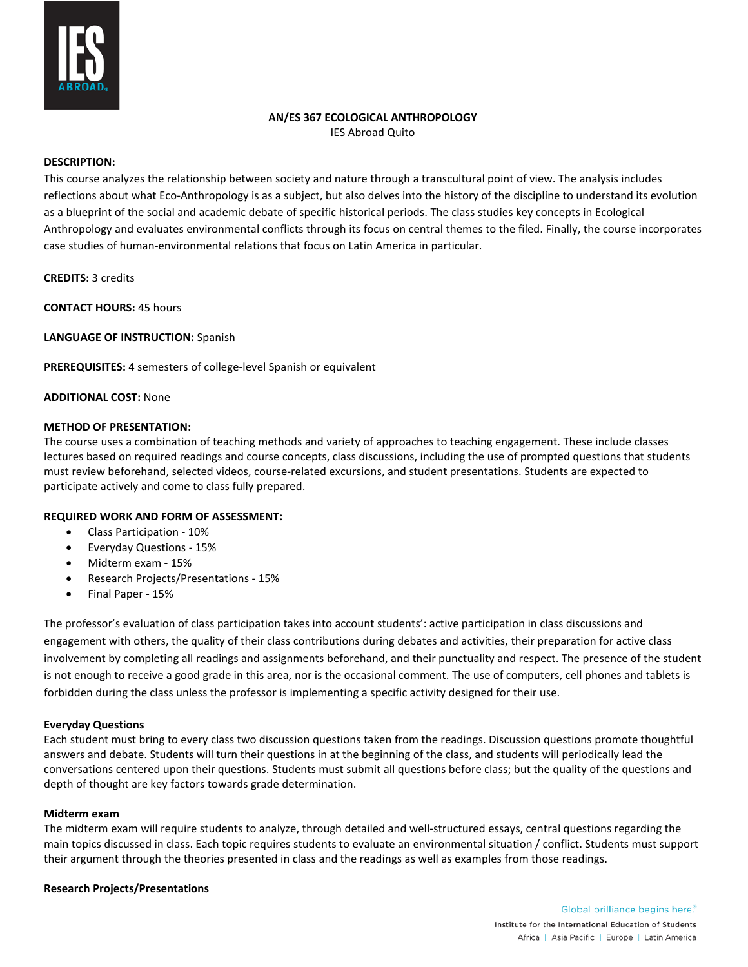

## **AN/ES 367 ECOLOGICAL ANTHROPOLOGY**

IES Abroad Quito

## **DESCRIPTION:**

This course analyzes the relationship between society and nature through a transcultural point of view. The analysis includes reflections about what Eco-Anthropology is as a subject, but also delves into the history of the discipline to understand its evolution as a blueprint of the social and academic debate of specific historical periods. The class studies key concepts in Ecological Anthropology and evaluates environmental conflicts through its focus on central themes to the filed. Finally, the course incorporates case studies of human-environmental relations that focus on Latin America in particular.

**CREDITS:** 3 credits

**CONTACT HOURS:** 45 hours

**LANGUAGE OF INSTRUCTION:** Spanish

**PREREQUISITES:** 4 semesters of college-level Spanish or equivalent

### **ADDITIONAL COST:** None

#### **METHOD OF PRESENTATION:**

The course uses a combination of teaching methods and variety of approaches to teaching engagement. These include classes lectures based on required readings and course concepts, class discussions, including the use of prompted questions that students must review beforehand, selected videos, course-related excursions, and student presentations. Students are expected to participate actively and come to class fully prepared.

#### **REQUIRED WORK AND FORM OF ASSESSMENT:**

- Class Participation 10%
- Everyday Questions 15%
- Midterm exam 15%
- Research Projects/Presentations 15%
- Final Paper 15%

The professor's evaluation of class participation takes into account students': active participation in class discussions and engagement with others, the quality of their class contributions during debates and activities, their preparation for active class involvement by completing all readings and assignments beforehand, and their punctuality and respect. The presence of the student is not enough to receive a good grade in this area, nor is the occasional comment. The use of computers, cell phones and tablets is forbidden during the class unless the professor is implementing a specific activity designed for their use.

### **Everyday Questions**

Each student must bring to every class two discussion questions taken from the readings. Discussion questions promote thoughtful answers and debate. Students will turn their questions in at the beginning of the class, and students will periodically lead the conversations centered upon their questions. Students must submit all questions before class; but the quality of the questions and depth of thought are key factors towards grade determination.

#### **Midterm exam**

The midterm exam will require students to analyze, through detailed and well-structured essays, central questions regarding the main topics discussed in class. Each topic requires students to evaluate an environmental situation / conflict. Students must support their argument through the theories presented in class and the readings as well as examples from those readings.

#### **Research Projects/Presentations**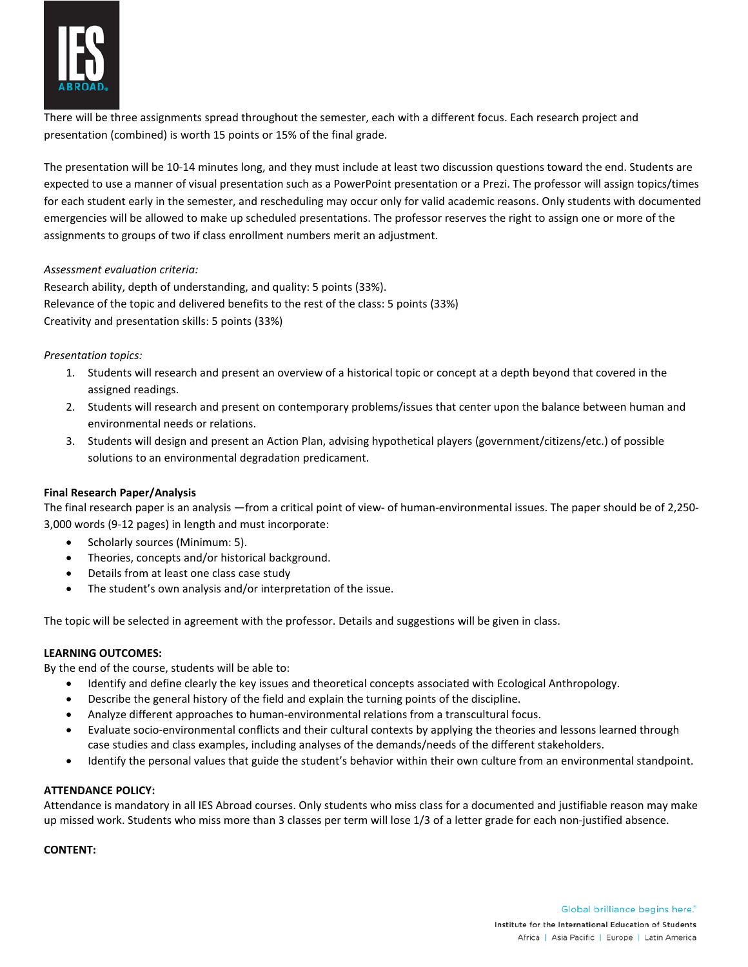

There will be three assignments spread throughout the semester, each with a different focus. Each research project and presentation (combined) is worth 15 points or 15% of the final grade.

The presentation will be 10-14 minutes long, and they must include at least two discussion questions toward the end. Students are expected to use a manner of visual presentation such as a PowerPoint presentation or a Prezi. The professor will assign topics/times for each student early in the semester, and rescheduling may occur only for valid academic reasons. Only students with documented emergencies will be allowed to make up scheduled presentations. The professor reserves the right to assign one or more of the assignments to groups of two if class enrollment numbers merit an adjustment.

### *Assessment evaluation criteria:*

Research ability, depth of understanding, and quality: 5 points (33%). Relevance of the topic and delivered benefits to the rest of the class: 5 points (33%) Creativity and presentation skills: 5 points (33%)

# *Presentation topics:*

- 1. Students will research and present an overview of a historical topic or concept at a depth beyond that covered in the assigned readings.
- 2. Students will research and present on contemporary problems/issues that center upon the balance between human and environmental needs or relations.
- 3. Students will design and present an Action Plan, advising hypothetical players (government/citizens/etc.) of possible solutions to an environmental degradation predicament.

# **Final Research Paper/Analysis**

The final research paper is an analysis —from a critical point of view- of human-environmental issues. The paper should be of 2,250- 3,000 words (9-12 pages) in length and must incorporate:

- Scholarly sources (Minimum: 5).
- Theories, concepts and/or historical background.
- Details from at least one class case study
- The student's own analysis and/or interpretation of the issue.

The topic will be selected in agreement with the professor. Details and suggestions will be given in class.

### **LEARNING OUTCOMES:**

By the end of the course, students will be able to:

- Identify and define clearly the key issues and theoretical concepts associated with Ecological Anthropology.
- Describe the general history of the field and explain the turning points of the discipline.
- Analyze different approaches to human-environmental relations from a transcultural focus.
- Evaluate socio-environmental conflicts and their cultural contexts by applying the theories and lessons learned through case studies and class examples, including analyses of the demands/needs of the different stakeholders.
- Identify the personal values that guide the student's behavior within their own culture from an environmental standpoint.

### **ATTENDANCE POLICY:**

Attendance is mandatory in all IES Abroad courses. Only students who miss class for a documented and justifiable reason may make up missed work. Students who miss more than 3 classes per term will lose 1/3 of a letter grade for each non-justified absence.

### **CONTENT:**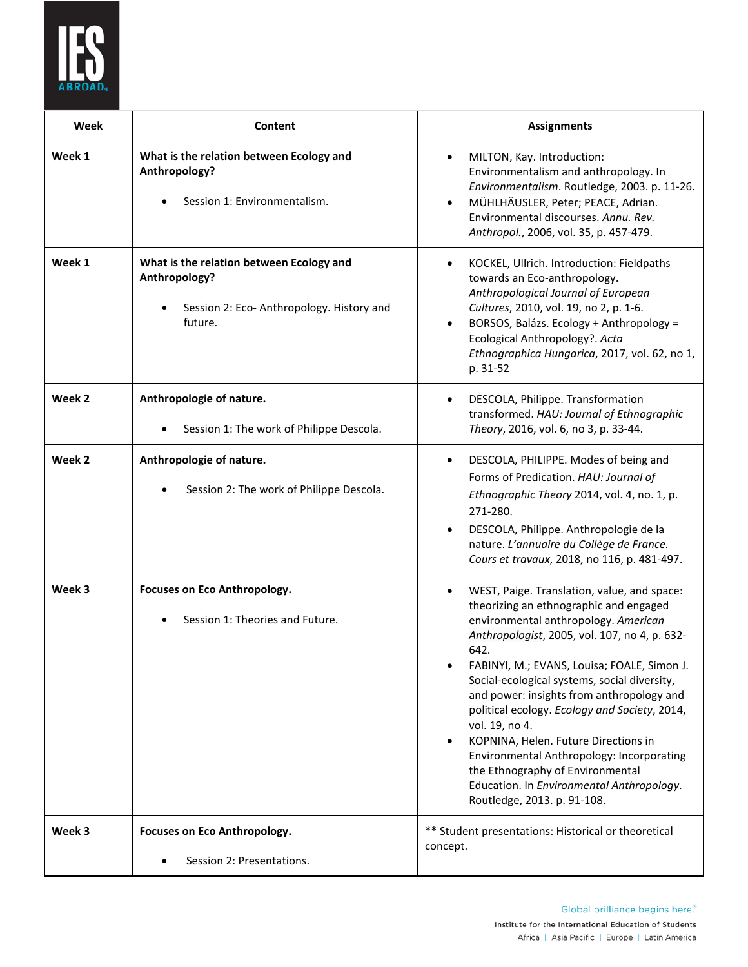

| Week   | Content                                                                                                          | <b>Assignments</b>                                                                                                                                                                                                                                                                                                                                                                                                                                                                                                                                                                                              |
|--------|------------------------------------------------------------------------------------------------------------------|-----------------------------------------------------------------------------------------------------------------------------------------------------------------------------------------------------------------------------------------------------------------------------------------------------------------------------------------------------------------------------------------------------------------------------------------------------------------------------------------------------------------------------------------------------------------------------------------------------------------|
| Week 1 | What is the relation between Ecology and<br>Anthropology?<br>Session 1: Environmentalism.                        | MILTON, Kay. Introduction:<br>٠<br>Environmentalism and anthropology. In<br>Environmentalism. Routledge, 2003. p. 11-26.<br>MÜHLHÄUSLER, Peter; PEACE, Adrian.<br>Environmental discourses. Annu. Rev.<br>Anthropol., 2006, vol. 35, p. 457-479.                                                                                                                                                                                                                                                                                                                                                                |
| Week 1 | What is the relation between Ecology and<br>Anthropology?<br>Session 2: Eco-Anthropology. History and<br>future. | KOCKEL, Ullrich. Introduction: Fieldpaths<br>towards an Eco-anthropology.<br>Anthropological Journal of European<br>Cultures, 2010, vol. 19, no 2, p. 1-6.<br>BORSOS, Balázs. Ecology + Anthropology =<br>Ecological Anthropology?. Acta<br>Ethnographica Hungarica, 2017, vol. 62, no 1,<br>p. 31-52                                                                                                                                                                                                                                                                                                           |
| Week 2 | Anthropologie of nature.<br>Session 1: The work of Philippe Descola.                                             | DESCOLA, Philippe. Transformation<br>transformed. HAU: Journal of Ethnographic<br>Theory, 2016, vol. 6, no 3, p. 33-44.                                                                                                                                                                                                                                                                                                                                                                                                                                                                                         |
| Week 2 | Anthropologie of nature.<br>Session 2: The work of Philippe Descola.                                             | DESCOLA, PHILIPPE. Modes of being and<br>$\bullet$<br>Forms of Predication. HAU: Journal of<br>Ethnographic Theory 2014, vol. 4, no. 1, p.<br>271-280.<br>DESCOLA, Philippe. Anthropologie de la<br>nature. L'annuaire du Collège de France.<br>Cours et travaux, 2018, no 116, p. 481-497.                                                                                                                                                                                                                                                                                                                     |
| Week 3 | Focuses on Eco Anthropology.<br>Session 1: Theories and Future.                                                  | WEST, Paige. Translation, value, and space:<br>theorizing an ethnographic and engaged<br>environmental anthropology. American<br>Anthropologist, 2005, vol. 107, no 4, p. 632-<br>642.<br>FABINYI, M.; EVANS, Louisa; FOALE, Simon J.<br>Social-ecological systems, social diversity,<br>and power: insights from anthropology and<br>political ecology. Ecology and Society, 2014,<br>vol. 19, no 4.<br>KOPNINA, Helen. Future Directions in<br>٠<br>Environmental Anthropology: Incorporating<br>the Ethnography of Environmental<br>Education. In Environmental Anthropology.<br>Routledge, 2013. p. 91-108. |
| Week 3 | Focuses on Eco Anthropology.                                                                                     | ** Student presentations: Historical or theoretical<br>concept.                                                                                                                                                                                                                                                                                                                                                                                                                                                                                                                                                 |
|        | Session 2: Presentations.                                                                                        |                                                                                                                                                                                                                                                                                                                                                                                                                                                                                                                                                                                                                 |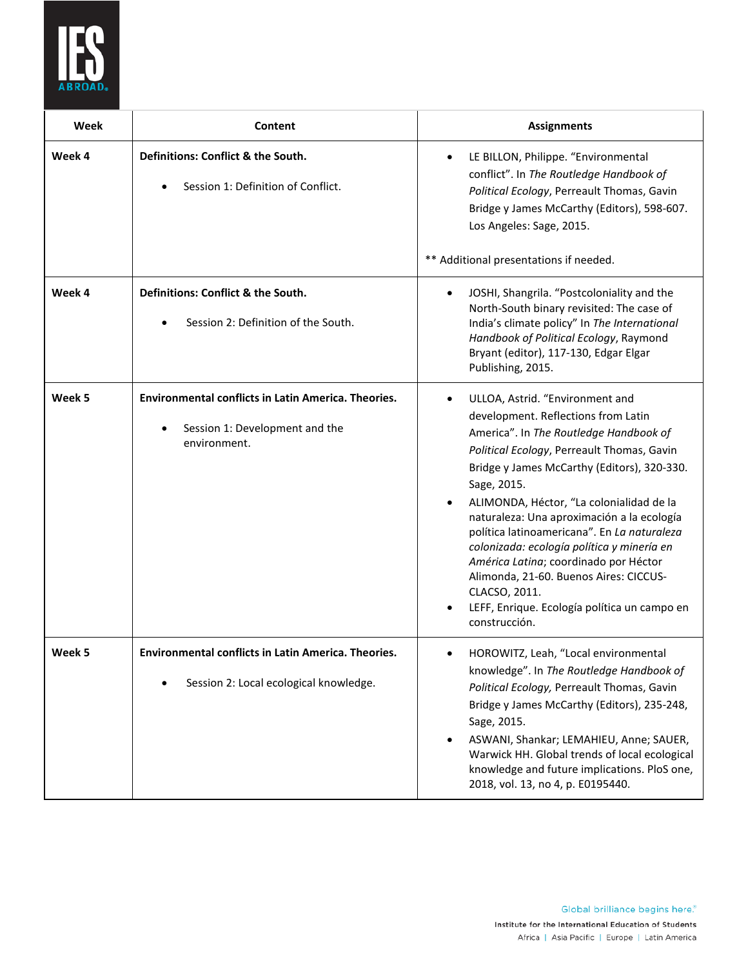

| Week   | Content                                                                                                      | <b>Assignments</b>                                                                                                                                                                                                                                                                                                                                                                                                                                                                                                                                                                                    |
|--------|--------------------------------------------------------------------------------------------------------------|-------------------------------------------------------------------------------------------------------------------------------------------------------------------------------------------------------------------------------------------------------------------------------------------------------------------------------------------------------------------------------------------------------------------------------------------------------------------------------------------------------------------------------------------------------------------------------------------------------|
| Week 4 | Definitions: Conflict & the South.<br>Session 1: Definition of Conflict.                                     | LE BILLON, Philippe. "Environmental<br>conflict". In The Routledge Handbook of<br>Political Ecology, Perreault Thomas, Gavin<br>Bridge y James McCarthy (Editors), 598-607.<br>Los Angeles: Sage, 2015.<br>** Additional presentations if needed.                                                                                                                                                                                                                                                                                                                                                     |
| Week 4 | Definitions: Conflict & the South.<br>Session 2: Definition of the South.                                    | JOSHI, Shangrila. "Postcoloniality and the<br>North-South binary revisited: The case of<br>India's climate policy" In The International<br>Handbook of Political Ecology, Raymond<br>Bryant (editor), 117-130, Edgar Elgar<br>Publishing, 2015.                                                                                                                                                                                                                                                                                                                                                       |
| Week 5 | <b>Environmental conflicts in Latin America. Theories.</b><br>Session 1: Development and the<br>environment. | ULLOA, Astrid. "Environment and<br>$\bullet$<br>development. Reflections from Latin<br>America". In The Routledge Handbook of<br>Political Ecology, Perreault Thomas, Gavin<br>Bridge y James McCarthy (Editors), 320-330.<br>Sage, 2015.<br>ALIMONDA, Héctor, "La colonialidad de la<br>naturaleza: Una aproximación a la ecología<br>política latinoamericana". En La naturaleza<br>colonizada: ecología política y minería en<br>América Latina; coordinado por Héctor<br>Alimonda, 21-60. Buenos Aires: CICCUS-<br>CLACSO, 2011.<br>LEFF, Enrique. Ecología política un campo en<br>construcción. |
| Week 5 | Environmental conflicts in Latin America. Theories.<br>Session 2: Local ecological knowledge.                | HOROWITZ, Leah, "Local environmental<br>knowledge". In The Routledge Handbook of<br>Political Ecology, Perreault Thomas, Gavin<br>Bridge y James McCarthy (Editors), 235-248,<br>Sage, 2015.<br>ASWANI, Shankar; LEMAHIEU, Anne; SAUER,<br>Warwick HH. Global trends of local ecological<br>knowledge and future implications. PloS one,<br>2018, vol. 13, no 4, p. E0195440.                                                                                                                                                                                                                         |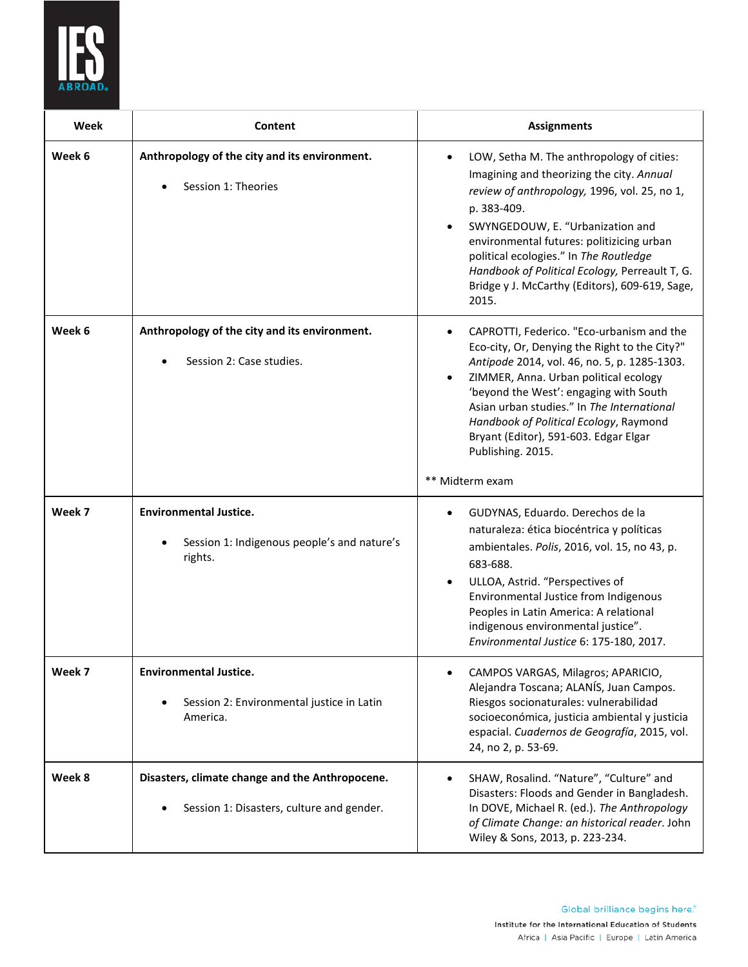

| Week   | Content                                                                                      | <b>Assignments</b>                                                                                                                                                                                                                                                                                                                                                                                     |
|--------|----------------------------------------------------------------------------------------------|--------------------------------------------------------------------------------------------------------------------------------------------------------------------------------------------------------------------------------------------------------------------------------------------------------------------------------------------------------------------------------------------------------|
| Week 6 | Anthropology of the city and its environment.<br>Session 1: Theories                         | LOW, Setha M. The anthropology of cities:<br>Imagining and theorizing the city. Annual<br>review of anthropology, 1996, vol. 25, no 1,<br>p. 383-409.<br>SWYNGEDOUW, E. "Urbanization and<br>environmental futures: politizicing urban<br>political ecologies." In The Routledge<br>Handbook of Political Ecology, Perreault T, G.<br>Bridge y J. McCarthy (Editors), 609-619, Sage,<br>2015.          |
| Week 6 | Anthropology of the city and its environment.<br>Session 2: Case studies.                    | CAPROTTI, Federico. "Eco-urbanism and the<br>Eco-city, Or, Denying the Right to the City?"<br>Antipode 2014, vol. 46, no. 5, p. 1285-1303.<br>ZIMMER, Anna. Urban political ecology<br>'beyond the West': engaging with South<br>Asian urban studies." In The International<br>Handbook of Political Ecology, Raymond<br>Bryant (Editor), 591-603. Edgar Elgar<br>Publishing. 2015.<br>** Midterm exam |
| Week 7 | <b>Environmental Justice.</b><br>Session 1: Indigenous people's and nature's<br>rights.      | GUDYNAS, Eduardo. Derechos de la<br>naturaleza: ética biocéntrica y políticas<br>ambientales. Polis, 2016, vol. 15, no 43, p.<br>683-688.<br>ULLOA, Astrid. "Perspectives of<br>Environmental Justice from Indigenous<br>Peoples in Latin America: A relational<br>indigenous environmental justice".<br>Environmental Justice 6: 175-180, 2017.                                                       |
| Week 7 | <b>Environmental Justice.</b><br>Session 2: Environmental justice in Latin<br>America.       | CAMPOS VARGAS, Milagros; APARICIO,<br>Alejandra Toscana; ALANÍS, Juan Campos.<br>Riesgos socionaturales: vulnerabilidad<br>socioeconómica, justicia ambiental y justicia<br>espacial. Cuadernos de Geografía, 2015, vol.<br>24, no 2, p. 53-69.                                                                                                                                                        |
| Week 8 | Disasters, climate change and the Anthropocene.<br>Session 1: Disasters, culture and gender. | SHAW, Rosalind. "Nature", "Culture" and<br>Disasters: Floods and Gender in Bangladesh.<br>In DOVE, Michael R. (ed.). The Anthropology<br>of Climate Change: an historical reader. John<br>Wiley & Sons, 2013, p. 223-234.                                                                                                                                                                              |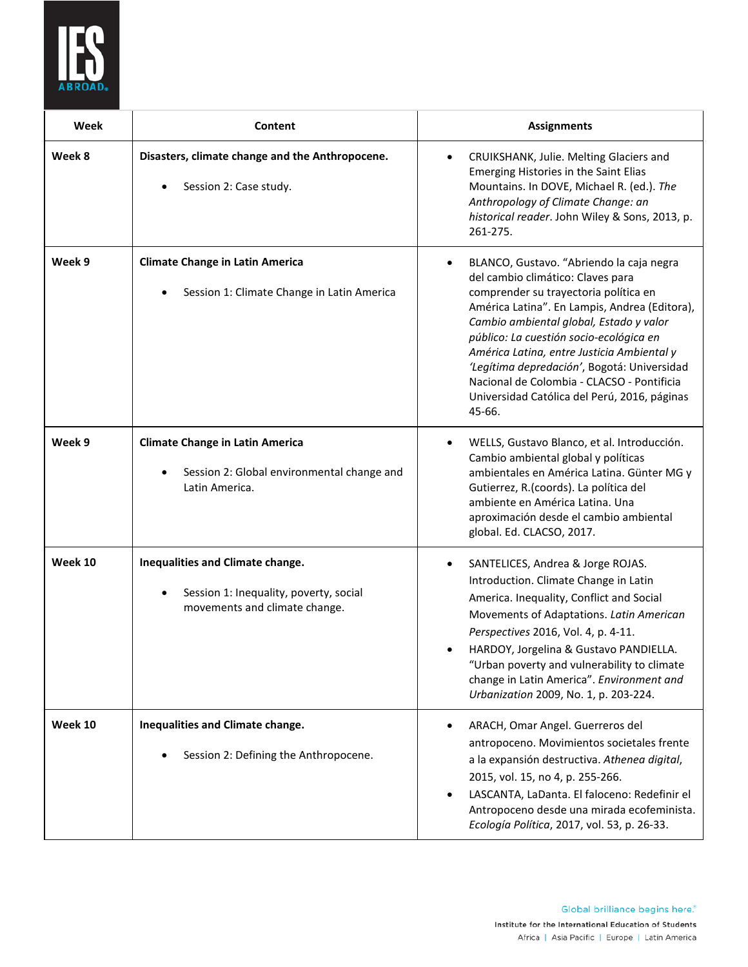

| Week    | Content                                                                                                     | <b>Assignments</b>                                                                                                                                                                                                                                                                                                                                                                                                                                                 |
|---------|-------------------------------------------------------------------------------------------------------------|--------------------------------------------------------------------------------------------------------------------------------------------------------------------------------------------------------------------------------------------------------------------------------------------------------------------------------------------------------------------------------------------------------------------------------------------------------------------|
| Week 8  | Disasters, climate change and the Anthropocene.<br>Session 2: Case study.                                   | CRUIKSHANK, Julie. Melting Glaciers and<br>$\bullet$<br>Emerging Histories in the Saint Elias<br>Mountains. In DOVE, Michael R. (ed.). The<br>Anthropology of Climate Change: an<br>historical reader. John Wiley & Sons, 2013, p.<br>261-275.                                                                                                                                                                                                                     |
| Week 9  | <b>Climate Change in Latin America</b><br>Session 1: Climate Change in Latin America                        | BLANCO, Gustavo. "Abriendo la caja negra<br>del cambio climático: Claves para<br>comprender su trayectoria política en<br>América Latina". En Lampis, Andrea (Editora),<br>Cambio ambiental global, Estado y valor<br>público: La cuestión socio-ecológica en<br>América Latina, entre Justicia Ambiental y<br>'Legítima depredación', Bogotá: Universidad<br>Nacional de Colombia - CLACSO - Pontificia<br>Universidad Católica del Perú, 2016, páginas<br>45-66. |
| Week 9  | <b>Climate Change in Latin America</b><br>Session 2: Global environmental change and<br>Latin America.      | WELLS, Gustavo Blanco, et al. Introducción.<br>Cambio ambiental global y políticas<br>ambientales en América Latina. Günter MG y<br>Gutierrez, R.(coords). La política del<br>ambiente en América Latina. Una<br>aproximación desde el cambio ambiental<br>global. Ed. CLACSO, 2017.                                                                                                                                                                               |
| Week 10 | Inequalities and Climate change.<br>Session 1: Inequality, poverty, social<br>movements and climate change. | SANTELICES, Andrea & Jorge ROJAS.<br>٠<br>Introduction. Climate Change in Latin<br>America. Inequality, Conflict and Social<br>Movements of Adaptations. Latin American<br>Perspectives 2016, Vol. 4, p. 4-11.<br>HARDOY, Jorgelina & Gustavo PANDIELLA.<br>"Urban poverty and vulnerability to climate<br>change in Latin America". Environment and<br>Urbanization 2009, No. 1, p. 203-224.                                                                      |
| Week 10 | Inequalities and Climate change.<br>Session 2: Defining the Anthropocene.                                   | ARACH, Omar Angel. Guerreros del<br>antropoceno. Movimientos societales frente<br>a la expansión destructiva. Athenea digital,<br>2015, vol. 15, no 4, p. 255-266.<br>LASCANTA, LaDanta. El faloceno: Redefinir el<br>Antropoceno desde una mirada ecofeminista.<br>Ecología Política, 2017, vol. 53, p. 26-33.                                                                                                                                                    |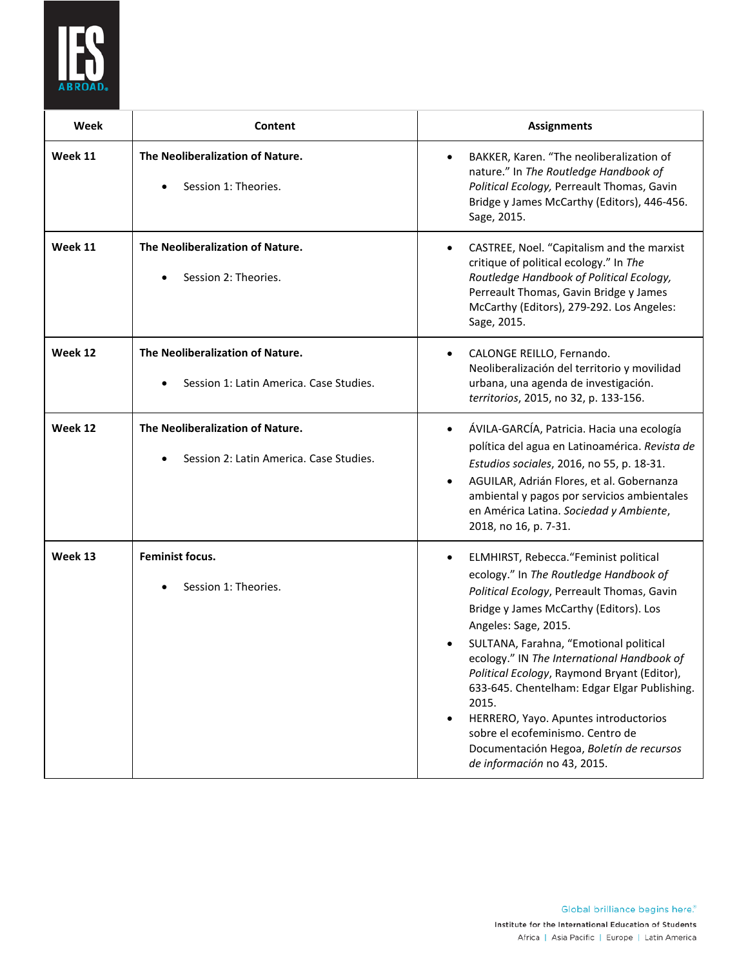

| Week    | Content                                                                     | <b>Assignments</b>                                                                                                                                                                                                                                                                                                                                                                                                                                                                                                                                                    |
|---------|-----------------------------------------------------------------------------|-----------------------------------------------------------------------------------------------------------------------------------------------------------------------------------------------------------------------------------------------------------------------------------------------------------------------------------------------------------------------------------------------------------------------------------------------------------------------------------------------------------------------------------------------------------------------|
| Week 11 | The Neoliberalization of Nature.<br>Session 1: Theories.                    | BAKKER, Karen. "The neoliberalization of<br>$\bullet$<br>nature." In The Routledge Handbook of<br>Political Ecology, Perreault Thomas, Gavin<br>Bridge y James McCarthy (Editors), 446-456.<br>Sage, 2015.                                                                                                                                                                                                                                                                                                                                                            |
| Week 11 | The Neoliberalization of Nature.<br>Session 2: Theories.                    | CASTREE, Noel. "Capitalism and the marxist<br>critique of political ecology." In The<br>Routledge Handbook of Political Ecology,<br>Perreault Thomas, Gavin Bridge y James<br>McCarthy (Editors), 279-292. Los Angeles:<br>Sage, 2015.                                                                                                                                                                                                                                                                                                                                |
| Week 12 | The Neoliberalization of Nature.<br>Session 1: Latin America. Case Studies. | CALONGE REILLO, Fernando.<br>$\bullet$<br>Neoliberalización del territorio y movilidad<br>urbana, una agenda de investigación.<br>territorios, 2015, no 32, p. 133-156.                                                                                                                                                                                                                                                                                                                                                                                               |
| Week 12 | The Neoliberalization of Nature.<br>Session 2: Latin America, Case Studies, | ÁVILA-GARCÍA, Patricia. Hacia una ecología<br>$\bullet$<br>política del agua en Latinoamérica. Revista de<br>Estudios sociales, 2016, no 55, p. 18-31.<br>AGUILAR, Adrián Flores, et al. Gobernanza<br>ambiental y pagos por servicios ambientales<br>en América Latina. Sociedad y Ambiente,<br>2018, no 16, p. 7-31.                                                                                                                                                                                                                                                |
| Week 13 | <b>Feminist focus.</b><br>Session 1: Theories.                              | ELMHIRST, Rebecca. "Feminist political<br>$\bullet$<br>ecology." In The Routledge Handbook of<br>Political Ecology, Perreault Thomas, Gavin<br>Bridge y James McCarthy (Editors). Los<br>Angeles: Sage, 2015.<br>SULTANA, Farahna, "Emotional political<br>ecology." IN The International Handbook of<br>Political Ecology, Raymond Bryant (Editor),<br>633-645. Chentelham: Edgar Elgar Publishing.<br>2015.<br>HERRERO, Yayo. Apuntes introductorios<br>sobre el ecofeminismo. Centro de<br>Documentación Hegoa, Boletín de recursos<br>de información no 43, 2015. |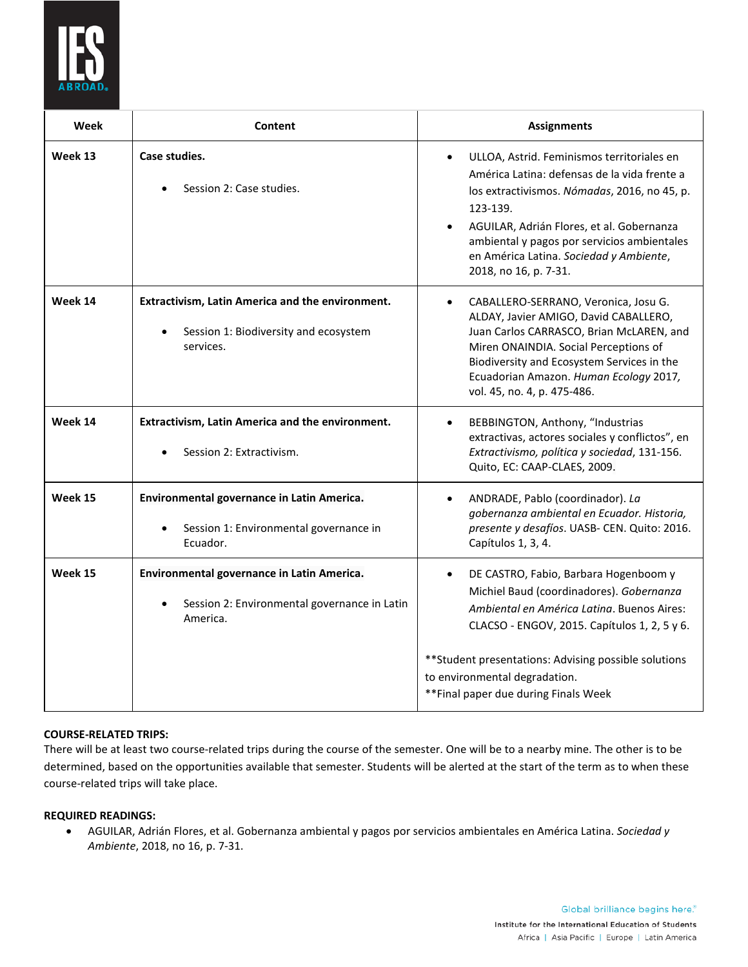

| Week    | Content                                                                                                | <b>Assignments</b>                                                                                                                                                                                                                                                                                                     |
|---------|--------------------------------------------------------------------------------------------------------|------------------------------------------------------------------------------------------------------------------------------------------------------------------------------------------------------------------------------------------------------------------------------------------------------------------------|
| Week 13 | Case studies.<br>Session 2: Case studies.                                                              | ULLOA, Astrid. Feminismos territoriales en<br>América Latina: defensas de la vida frente a<br>los extractivismos. Nómadas, 2016, no 45, p.<br>123-139.<br>AGUILAR, Adrián Flores, et al. Gobernanza<br>ambiental y pagos por servicios ambientales<br>en América Latina. Sociedad y Ambiente,<br>2018, no 16, p. 7-31. |
| Week 14 | Extractivism, Latin America and the environment.<br>Session 1: Biodiversity and ecosystem<br>services. | CABALLERO-SERRANO, Veronica, Josu G.<br>ALDAY, Javier AMIGO, David CABALLERO,<br>Juan Carlos CARRASCO, Brian McLAREN, and<br>Miren ONAINDIA. Social Perceptions of<br>Biodiversity and Ecosystem Services in the<br>Ecuadorian Amazon. Human Ecology 2017,<br>vol. 45, no. 4, p. 475-486.                              |
| Week 14 | Extractivism, Latin America and the environment.<br>Session 2: Extractivism.                           | BEBBINGTON, Anthony, "Industrias<br>extractivas, actores sociales y conflictos", en<br>Extractivismo, política y sociedad, 131-156.<br>Quito, EC: CAAP-CLAES, 2009.                                                                                                                                                    |
| Week 15 | Environmental governance in Latin America.<br>Session 1: Environmental governance in<br>Ecuador.       | ANDRADE, Pablo (coordinador). La<br>٠<br>gobernanza ambiental en Ecuador. Historia,<br>presente y desafíos. UASB- CEN. Quito: 2016.<br>Capítulos 1, 3, 4.                                                                                                                                                              |
| Week 15 | Environmental governance in Latin America.<br>Session 2: Environmental governance in Latin<br>America. | DE CASTRO, Fabio, Barbara Hogenboom y<br>Michiel Baud (coordinadores). Gobernanza<br>Ambiental en América Latina. Buenos Aires:<br>CLACSO - ENGOV, 2015. Capítulos 1, 2, 5 y 6.                                                                                                                                        |
|         |                                                                                                        | ** Student presentations: Advising possible solutions<br>to environmental degradation.<br>**Final paper due during Finals Week                                                                                                                                                                                         |

# **COURSE-RELATED TRIPS:**

There will be at least two course-related trips during the course of the semester. One will be to a nearby mine. The other is to be determined, based on the opportunities available that semester. Students will be alerted at the start of the term as to when these course-related trips will take place.

### **REQUIRED READINGS:**

• AGUILAR, Adrián Flores, et al. Gobernanza ambiental y pagos por servicios ambientales en América Latina. *Sociedad y Ambiente*, 2018, no 16, p. 7-31.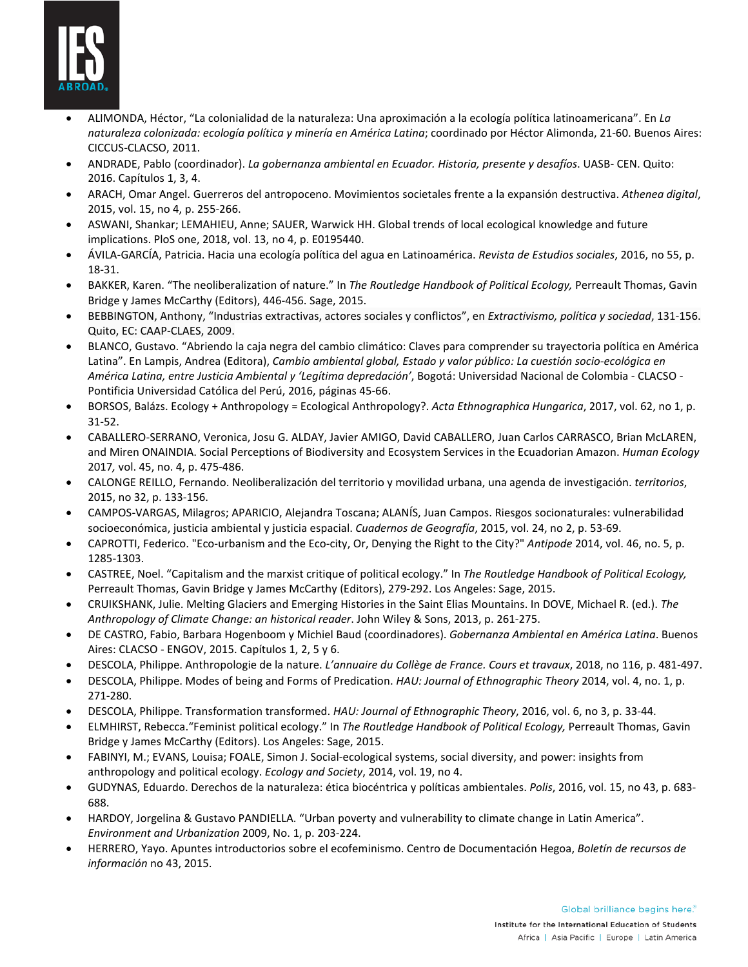

- ALIMONDA, Héctor, "La colonialidad de la naturaleza: Una aproximación a la ecología política latinoamericana". En *La naturaleza colonizada: ecología política y minería en América Latina*; coordinado por Héctor Alimonda, 21-60. Buenos Aires: CICCUS-CLACSO, 2011.
- ANDRADE, Pablo (coordinador). *La gobernanza ambiental en Ecuador. Historia, presente y desafíos*. UASB- CEN. Quito: 2016. Capítulos 1, 3, 4.
- ARACH, Omar Angel. Guerreros del antropoceno. Movimientos societales frente a la expansión destructiva. *Athenea digital*, 2015, vol. 15, no 4, p. 255-266.
- ASWANI, Shankar; LEMAHIEU, Anne; SAUER, Warwick HH. Global trends of local ecological knowledge and future implications. PloS one, 2018, vol. 13, no 4, p. E0195440.
- ÁVILA-GARCÍA, Patricia. Hacia una ecología política del agua en Latinoamérica. *Revista de Estudios sociales*, 2016, no 55, p. 18-31.
- BAKKER, Karen. "The neoliberalization of nature." In *The Routledge Handbook of Political Ecology,* Perreault Thomas, Gavin Bridge y James McCarthy (Editors), 446-456. Sage, 2015.
- BEBBINGTON, Anthony, "Industrias extractivas, actores sociales y conflictos", en *Extractivismo, política y sociedad*, 131-156. Quito, EC: CAAP-CLAES, 2009.
- BLANCO, Gustavo. "Abriendo la caja negra del cambio climático: Claves para comprender su trayectoria política en América Latina". En Lampis, Andrea (Editora), *Cambio ambiental global, Estado y valor público: La cuestión socio-ecológica en América Latina, entre Justicia Ambiental y 'Legítima depredación'*, Bogotá: Universidad Nacional de Colombia - CLACSO - Pontificia Universidad Católica del Perú, 2016, páginas 45-66.
- BORSOS, Balázs. Ecology + Anthropology = Ecological Anthropology?. *Acta Ethnographica Hungarica*, 2017, vol. 62, no 1, p. 31-52.
- CABALLERO-SERRANO, Veronica, Josu G. ALDAY, Javier AMIGO, David CABALLERO, Juan Carlos CARRASCO, Brian McLAREN, and Miren ONAINDIA. Social Perceptions of Biodiversity and Ecosystem Services in the Ecuadorian Amazon. *Human Ecology*  2017*,* vol. 45, no. 4, p. 475-486.
- CALONGE REILLO, Fernando. Neoliberalización del territorio y movilidad urbana, una agenda de investigación. *territorios*, 2015, no 32, p. 133-156.
- CAMPOS-VARGAS, Milagros; APARICIO, Alejandra Toscana; ALANÍS, Juan Campos. Riesgos socionaturales: vulnerabilidad socioeconómica, justicia ambiental y justicia espacial. *Cuadernos de Geografía*, 2015, vol. 24, no 2, p. 53-69.
- CAPROTTI, Federico. "Eco-urbanism and the Eco-city, Or, Denying the Right to the City?" *Antipode* 2014, vol. 46, no. 5, p. 1285-1303.
- CASTREE, Noel. "Capitalism and the marxist critique of political ecology." In *The Routledge Handbook of Political Ecology,*  Perreault Thomas, Gavin Bridge y James McCarthy (Editors), 279-292. Los Angeles: Sage, 2015.
- CRUIKSHANK, Julie. Melting Glaciers and Emerging Histories in the Saint Elias Mountains. In DOVE, Michael R. (ed.). *The Anthropology of Climate Change: an historical reader*. John Wiley & Sons, 2013, p. 261-275.
- DE CASTRO, Fabio, Barbara Hogenboom y Michiel Baud (coordinadores). *Gobernanza Ambiental en América Latina*. Buenos Aires: CLACSO - ENGOV, 2015. Capítulos 1, 2, 5 y 6.
- DESCOLA, Philippe. Anthropologie de la nature. *L'annuaire du Collège de France. Cours et travaux*, 2018, no 116, p. 481-497.
- DESCOLA, Philippe. Modes of being and Forms of Predication. *HAU: Journal of Ethnographic Theory* 2014, vol. 4, no. 1, p. 271-280.
- DESCOLA, Philippe. Transformation transformed. *HAU: Journal of Ethnographic Theory*, 2016, vol. 6, no 3, p. 33-44.
- ELMHIRST, Rebecca."Feminist political ecology." In *The Routledge Handbook of Political Ecology,* Perreault Thomas, Gavin Bridge y James McCarthy (Editors). Los Angeles: Sage, 2015.
- FABINYI, M.; EVANS, Louisa; FOALE, Simon J. Social-ecological systems, social diversity, and power: insights from anthropology and political ecology. *Ecology and Society*, 2014, vol. 19, no 4.
- GUDYNAS, Eduardo. Derechos de la naturaleza: ética biocéntrica y políticas ambientales. *Polis*, 2016, vol. 15, no 43, p. 683- 688.
- HARDOY, Jorgelina & Gustavo PANDIELLA. "Urban poverty and vulnerability to climate change in Latin America". *Environment and Urbanization* 2009, No. 1, p. 203-224.
- HERRERO, Yayo. Apuntes introductorios sobre el ecofeminismo. Centro de Documentación Hegoa, *Boletín de recursos de información* no 43, 2015.